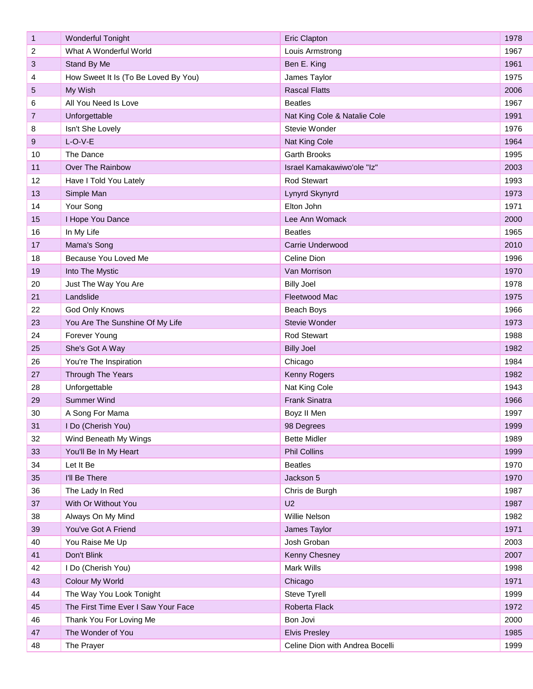| $\mathbf{1}$   | <b>Wonderful Tonight</b>             | <b>Eric Clapton</b>             | 1978 |
|----------------|--------------------------------------|---------------------------------|------|
| 2              | What A Wonderful World               | Louis Armstrong                 | 1967 |
| 3              | Stand By Me                          | Ben E. King                     | 1961 |
| 4              | How Sweet It Is (To Be Loved By You) | James Taylor                    | 1975 |
| 5              | My Wish                              | <b>Rascal Flatts</b>            | 2006 |
| 6              | All You Need Is Love                 | <b>Beatles</b>                  | 1967 |
| $\overline{7}$ | Unforgettable                        | Nat King Cole & Natalie Cole    | 1991 |
| 8              | Isn't She Lovely                     | Stevie Wonder                   | 1976 |
| 9              | $L-O-V-E$                            | Nat King Cole                   | 1964 |
| 10             | The Dance                            | <b>Garth Brooks</b>             | 1995 |
| 11             | Over The Rainbow                     | Israel Kamakawiwo'ole "Iz"      | 2003 |
| 12             | Have I Told You Lately               | <b>Rod Stewart</b>              | 1993 |
| 13             | Simple Man                           | Lynyrd Skynyrd                  | 1973 |
| 14             | Your Song                            | Elton John                      | 1971 |
| 15             | I Hope You Dance                     | Lee Ann Womack                  | 2000 |
| 16             | In My Life                           | <b>Beatles</b>                  | 1965 |
| 17             | Mama's Song                          | Carrie Underwood                | 2010 |
| 18             | Because You Loved Me                 | Celine Dion                     | 1996 |
| 19             | Into The Mystic                      | Van Morrison                    | 1970 |
| 20             | Just The Way You Are                 | <b>Billy Joel</b>               | 1978 |
| 21             | Landslide                            | Fleetwood Mac                   | 1975 |
| 22             | God Only Knows                       | Beach Boys                      | 1966 |
| 23             | You Are The Sunshine Of My Life      | Stevie Wonder                   | 1973 |
| 24             | Forever Young                        | <b>Rod Stewart</b>              | 1988 |
| 25             | She's Got A Way                      | <b>Billy Joel</b>               | 1982 |
| 26             | You're The Inspiration               | Chicago                         | 1984 |
| 27             | Through The Years                    | Kenny Rogers                    | 1982 |
| 28             | Unforgettable                        | Nat King Cole                   | 1943 |
| 29             | <b>Summer Wind</b>                   | <b>Frank Sinatra</b>            | 1966 |
| 30             | A Song For Mama                      | Boyz II Men                     | 1997 |
| 31             | I Do (Cherish You)                   | 98 Degrees                      | 1999 |
| 32             | Wind Beneath My Wings                | <b>Bette Midler</b>             | 1989 |
| 33             | You'll Be In My Heart                | <b>Phil Collins</b>             | 1999 |
| 34             | Let It Be                            | <b>Beatles</b>                  | 1970 |
| 35             | I'll Be There                        | Jackson 5                       | 1970 |
| 36             | The Lady In Red                      | Chris de Burgh                  | 1987 |
| 37             | With Or Without You                  | U <sub>2</sub>                  | 1987 |
| 38             | Always On My Mind                    | Willie Nelson                   | 1982 |
| 39             | You've Got A Friend                  | James Taylor                    | 1971 |
| 40             | You Raise Me Up                      | Josh Groban                     | 2003 |
| 41             | Don't Blink                          | Kenny Chesney                   | 2007 |
| 42             | I Do (Cherish You)                   | Mark Wills                      | 1998 |
| 43             | Colour My World                      | Chicago                         | 1971 |
| 44             | The Way You Look Tonight             | Steve Tyrell                    | 1999 |
| 45             | The First Time Ever I Saw Your Face  | Roberta Flack                   | 1972 |
| 46             | Thank You For Loving Me              | Bon Jovi                        | 2000 |
| 47             | The Wonder of You                    | <b>Elvis Presley</b>            | 1985 |
| 48             | The Prayer                           | Celine Dion with Andrea Bocelli | 1999 |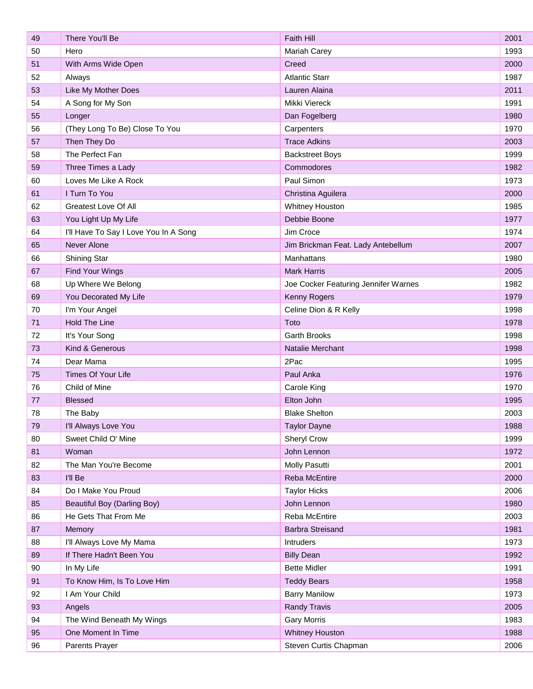| 49 | There You'll Be                       | Faith Hill                           | 2001 |
|----|---------------------------------------|--------------------------------------|------|
| 50 | Hero                                  | Mariah Carey                         | 1993 |
| 51 | With Arms Wide Open                   | Creed                                | 2000 |
| 52 | Always                                | <b>Atlantic Starr</b>                | 1987 |
| 53 | Like My Mother Does                   | Lauren Alaina                        | 2011 |
| 54 | A Song for My Son                     | Mikki Viereck                        | 1991 |
| 55 | Longer                                | Dan Fogelberg                        | 1980 |
| 56 | (They Long To Be) Close To You        | Carpenters                           | 1970 |
| 57 | Then They Do                          | <b>Trace Adkins</b>                  | 2003 |
| 58 | The Perfect Fan                       | <b>Backstreet Boys</b>               | 1999 |
| 59 | Three Times a Lady                    | Commodores                           | 1982 |
| 60 | Loves Me Like A Rock                  | Paul Simon                           | 1973 |
| 61 | I Turn To You                         | Christina Aguilera                   | 2000 |
| 62 | Greatest Love Of All                  | Whitney Houston                      | 1985 |
| 63 | You Light Up My Life                  | Debbie Boone                         | 1977 |
| 64 | I'll Have To Say I Love You In A Song | Jim Croce                            | 1974 |
| 65 | Never Alone                           | Jim Brickman Feat. Lady Antebellum   | 2007 |
| 66 | Shining Star                          | Manhattans                           | 1980 |
| 67 | Find Your Wings                       | <b>Mark Harris</b>                   | 2005 |
| 68 | Up Where We Belong                    | Joe Cocker Featuring Jennifer Warnes | 1982 |
| 69 | You Decorated My Life                 | Kenny Rogers                         | 1979 |
| 70 | I'm Your Angel                        | Celine Dion & R Kelly                | 1998 |
| 71 | Hold The Line                         | Toto                                 | 1978 |
| 72 | It's Your Song                        | Garth Brooks                         | 1998 |
| 73 | Kind & Generous                       | Natalie Merchant                     | 1998 |
| 74 | Dear Mama                             | 2Pac                                 | 1995 |
| 75 | Times Of Your Life                    | Paul Anka                            | 1976 |
| 76 | Child of Mine                         | Carole King                          | 1970 |
| 77 | <b>Blessed</b>                        | Elton John                           | 1995 |
| 78 | The Baby                              | <b>Blake Shelton</b>                 | 2003 |
| 79 | I'll Always Love You                  | <b>Taylor Dayne</b>                  | 1988 |
| 80 | Sweet Child O' Mine                   | Sheryl Crow                          | 1999 |
| 81 | Woman                                 | John Lennon                          | 1972 |
| 82 | The Man You're Become                 | Molly Pasutti                        | 2001 |
| 83 | I'll Be                               | Reba McEntire                        | 2000 |
| 84 | Do I Make You Proud                   | <b>Taylor Hicks</b>                  | 2006 |
| 85 | Beautiful Boy (Darling Boy)           | John Lennon                          | 1980 |
| 86 | He Gets That From Me                  | Reba McEntire                        | 2003 |
| 87 | Memory                                | Barbra Streisand                     | 1981 |
| 88 | I'll Always Love My Mama              | Intruders                            | 1973 |
| 89 | If There Hadn't Been You              | <b>Billy Dean</b>                    | 1992 |
| 90 | In My Life                            | <b>Bette Midler</b>                  | 1991 |
| 91 | To Know Him, Is To Love Him           | <b>Teddy Bears</b>                   | 1958 |
| 92 | I Am Your Child                       | <b>Barry Manilow</b>                 | 1973 |
| 93 | Angels                                | <b>Randy Travis</b>                  | 2005 |
| 94 | The Wind Beneath My Wings             | <b>Gary Morris</b>                   | 1983 |
| 95 | One Moment In Time                    | <b>Whitney Houston</b>               | 1988 |
| 96 | Parents Prayer                        | Steven Curtis Chapman                | 2006 |